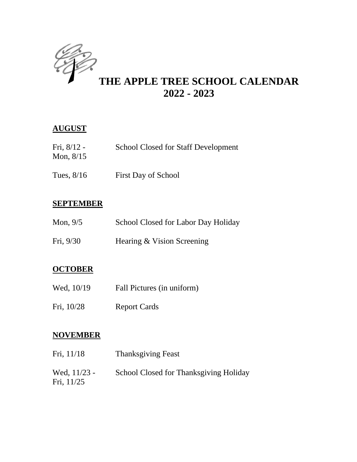

# **THE APPLE TREE SCHOOL CALENDAR 2022 - 2023**

#### **AUGUST**

| Fri, $8/12 -$ | <b>School Closed for Staff Development</b> |
|---------------|--------------------------------------------|
| Mon, $8/15$   |                                            |
|               |                                            |

Tues,  $8/16$  First Day of School

#### **SEPTEMBER**

| Mon, $9/5$ | School Closed for Labor Day Holiday |  |
|------------|-------------------------------------|--|
| Fri, 9/30  | Hearing & Vision Screening          |  |

### **OCTOBER**

- Wed,  $10/19$  Fall Pictures (in uniform)
- Fri, 10/28 Report Cards

#### **NOVEMBER**

| Fri, 11/18                 | <b>Thanksgiving Feast</b>              |  |
|----------------------------|----------------------------------------|--|
| Wed, 11/23 -<br>Fri, 11/25 | School Closed for Thanksgiving Holiday |  |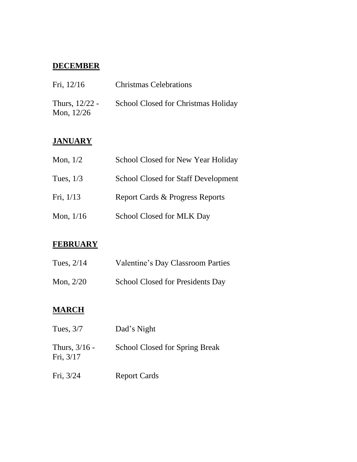### **DECEMBER**

| Fri, $12/16$                     | <b>Christmas Celebrations</b>       |  |
|----------------------------------|-------------------------------------|--|
| Thurs, $12/22$ -<br>Mon, $12/26$ | School Closed for Christmas Holiday |  |

#### **JANUARY**

| Mon, $1/2$  | School Closed for New Year Holiday         |  |
|-------------|--------------------------------------------|--|
| Tues, $1/3$ | <b>School Closed for Staff Development</b> |  |
| Fri, $1/13$ | Report Cards & Progress Reports            |  |
| Mon, $1/16$ | School Closed for MLK Day                  |  |

#### **FEBRUARY**

| Tues, $2/14$ | Valentine's Day Classroom Parties       |
|--------------|-----------------------------------------|
| Mon, $2/20$  | <b>School Closed for Presidents Day</b> |

#### **MARCH**

| Tues, $3/7$                  | Dad's Night                           |
|------------------------------|---------------------------------------|
| Thurs, $3/16$ -<br>Fri, 3/17 | <b>School Closed for Spring Break</b> |
| Fri, 3/24                    | <b>Report Cards</b>                   |